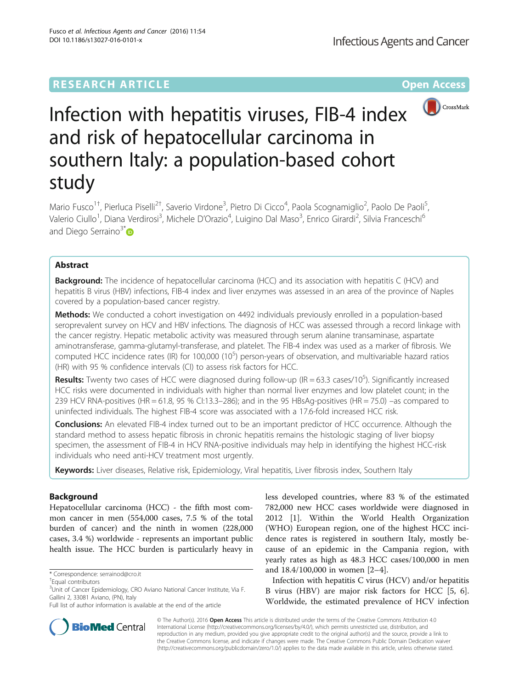## **RESEARCH ARTICLE Example 2014 12:30 The Contract of Contract ACCESS**



# Infection with hepatitis viruses, FIB-4 index and risk of hepatocellular carcinoma in southern Italy: a population-based cohort study

Mario Fusco<sup>1†</sup>, Pierluca Piselli<sup>2†</sup>, Saverio Virdone<sup>3</sup>, Pietro Di Cicco<sup>4</sup>, Paola Scognamiglio<sup>2</sup>, Paolo De Paoli<sup>5</sup> , Valerio Ciullo<sup>1</sup>, Diana Verdirosi<sup>3</sup>, Michele D'Orazio<sup>4</sup>, Luigino Dal Maso<sup>3</sup>, Enrico Girardi<sup>2</sup>, Silvia Franceschi<sup>6</sup> and Diego Serraino $3^* \bullet$ 

## Abstract

**Background:** The incidence of hepatocellular carcinoma (HCC) and its association with hepatitis C (HCV) and hepatitis B virus (HBV) infections, FIB-4 index and liver enzymes was assessed in an area of the province of Naples covered by a population-based cancer registry.

Methods: We conducted a cohort investigation on 4492 individuals previously enrolled in a population-based seroprevalent survey on HCV and HBV infections. The diagnosis of HCC was assessed through a record linkage with the cancer registry. Hepatic metabolic activity was measured through serum alanine transaminase, aspartate aminotransferase, gamma-glutamyl-transferase, and platelet. The FIB-4 index was used as a marker of fibrosis. We computed HCC incidence rates (IR) for 100,000 (10 $5$ ) person-years of observation, and multivariable hazard ratios (HR) with 95 % confidence intervals (CI) to assess risk factors for HCC.

Results: Twenty two cases of HCC were diagnosed during follow-up (IR = 63.3 cases/10<sup>5</sup>). Significantly increased HCC risks were documented in individuals with higher than normal liver enzymes and low platelet count; in the 239 HCV RNA-positives (HR = 61.8, 95 % CI:13.3–286); and in the 95 HBsAg-positives (HR = 75.0) –as compared to uninfected individuals. The highest FIB-4 score was associated with a 17.6-fold increased HCC risk.

**Conclusions:** An elevated FIB-4 index turned out to be an important predictor of HCC occurrence. Although the standard method to assess hepatic fibrosis in chronic hepatitis remains the histologic staging of liver biopsy specimen, the assessment of FIB-4 in HCV RNA-positive individuals may help in identifying the highest HCC-risk individuals who need anti-HCV treatment most urgently.

Keywords: Liver diseases, Relative risk, Epidemiology, Viral hepatitis, Liver fibrosis index, Southern Italy

## Background

Hepatocellular carcinoma (HCC) - the fifth most common cancer in men (554,000 cases, 7.5 % of the total burden of cancer) and the ninth in women (228,000 cases, 3.4 %) worldwide - represents an important public health issue. The HCC burden is particularly heavy in



Infection with hepatitis C virus (HCV) and/or hepatitis B virus (HBV) are major risk factors for HCC [\[5](#page-6-0), [6](#page-6-0)]. Worldwide, the estimated prevalence of HCV infection



© The Author(s). 2016 Open Access This article is distributed under the terms of the Creative Commons Attribution 4.0 International License [\(http://creativecommons.org/licenses/by/4.0/](http://creativecommons.org/licenses/by/4.0/)), which permits unrestricted use, distribution, and reproduction in any medium, provided you give appropriate credit to the original author(s) and the source, provide a link to the Creative Commons license, and indicate if changes were made. The Creative Commons Public Domain Dedication waiver [\(http://creativecommons.org/publicdomain/zero/1.0/](http://creativecommons.org/publicdomain/zero/1.0/)) applies to the data made available in this article, unless otherwise stated.

<sup>\*</sup> Correspondence: [serrainod@cro.it](mailto:serrainod@cro.it) †

Equal contributors

<sup>&</sup>lt;sup>3</sup>Unit of Cancer Epidemiology, CRO Aviano National Cancer Institute, Via F. Gallini 2, 33081 Aviano, (PN), Italy

Full list of author information is available at the end of the article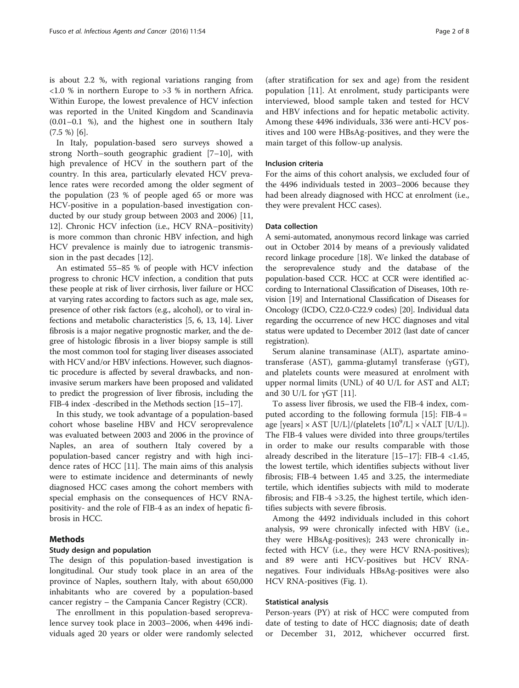is about 2.2 %, with regional variations ranging from <1.0 % in northern Europe to >3 % in northern Africa. Within Europe, the lowest prevalence of HCV infection was reported in the United Kingdom and Scandinavia (0.01–0.1 %), and the highest one in southern Italy  $(7.5 \%)$  [[6\]](#page-6-0).

In Italy, population-based sero surveys showed a strong North–south geographic gradient [[7](#page-6-0)–[10](#page-6-0)], with high prevalence of HCV in the southern part of the country. In this area, particularly elevated HCV prevalence rates were recorded among the older segment of the population (23 % of people aged 65 or more was HCV-positive in a population-based investigation conducted by our study group between 2003 and 2006) [[11](#page-6-0), [12\]](#page-6-0). Chronic HCV infection (i.e., HCV RNA–positivity) is more common than chronic HBV infection, and high HCV prevalence is mainly due to iatrogenic transmission in the past decades [[12\]](#page-6-0).

An estimated 55–85 % of people with HCV infection progress to chronic HCV infection, a condition that puts these people at risk of liver cirrhosis, liver failure or HCC at varying rates according to factors such as age, male sex, presence of other risk factors (e.g., alcohol), or to viral infections and metabolic characteristics [[5, 6](#page-6-0), [13](#page-6-0), [14\]](#page-6-0). Liver fibrosis is a major negative prognostic marker, and the degree of histologic fibrosis in a liver biopsy sample is still the most common tool for staging liver diseases associated with HCV and/or HBV infections. However, such diagnostic procedure is affected by several drawbacks, and noninvasive serum markers have been proposed and validated to predict the progression of liver fibrosis, including the FIB-4 index -described in the Methods section [\[15](#page-6-0)–[17](#page-7-0)].

In this study, we took advantage of a population-based cohort whose baseline HBV and HCV seroprevalence was evaluated between 2003 and 2006 in the province of Naples, an area of southern Italy covered by a population-based cancer registry and with high incidence rates of HCC [\[11](#page-6-0)]. The main aims of this analysis were to estimate incidence and determinants of newly diagnosed HCC cases among the cohort members with special emphasis on the consequences of HCV RNApositivity- and the role of FIB-4 as an index of hepatic fibrosis in HCC.

## Methods

## Study design and population

The design of this population-based investigation is longitudinal. Our study took place in an area of the province of Naples, southern Italy, with about 650,000 inhabitants who are covered by a population-based cancer registry – the Campania Cancer Registry (CCR).

The enrollment in this population-based seroprevalence survey took place in 2003–2006, when 4496 individuals aged 20 years or older were randomly selected

(after stratification for sex and age) from the resident population [[11\]](#page-6-0). At enrolment, study participants were interviewed, blood sample taken and tested for HCV and HBV infections and for hepatic metabolic activity. Among these 4496 individuals, 336 were anti-HCV positives and 100 were HBsAg-positives, and they were the main target of this follow-up analysis.

#### Inclusion criteria

For the aims of this cohort analysis, we excluded four of the 4496 individuals tested in 2003–2006 because they had been already diagnosed with HCC at enrolment (i.e., they were prevalent HCC cases).

## Data collection

A semi-automated, anonymous record linkage was carried out in October 2014 by means of a previously validated record linkage procedure [[18](#page-7-0)]. We linked the database of the seroprevalence study and the database of the population-based CCR. HCC at CCR were identified according to International Classification of Diseases, 10th revision [\[19\]](#page-7-0) and International Classification of Diseases for Oncology (ICDO, C22.0-C22.9 codes) [[20](#page-7-0)]. Individual data regarding the occurrence of new HCC diagnoses and vital status were updated to December 2012 (last date of cancer registration).

Serum alanine transaminase (ALT), aspartate aminotransferase (AST), gamma-glutamyl transferase (γGT), and platelets counts were measured at enrolment with upper normal limits (UNL) of 40 U/L for AST and ALT; and 30 U/L for  $γ$ GT [[11\]](#page-6-0).

To assess liver fibrosis, we used the FIB-4 index, computed according to the following formula  $[15]$  $[15]$ : FIB-4 = age [years]  $\times$  AST [U/L]/(platelets [10<sup>9</sup>/L]  $\times$   $\sqrt{ALT}$  [U/L]). The FIB-4 values were divided into three groups/tertiles in order to make our results comparable with those already described in the literature  $[15-17]$  $[15-17]$  $[15-17]$  $[15-17]$ : FIB-4 <1.45, the lowest tertile, which identifies subjects without liver fibrosis; FIB-4 between 1.45 and 3.25, the intermediate tertile, which identifies subjects with mild to moderate fibrosis; and FIB-4 >3.25, the highest tertile, which identifies subjects with severe fibrosis.

Among the 4492 individuals included in this cohort analysis, 99 were chronically infected with HBV (i.e., they were HBsAg-positives); 243 were chronically infected with HCV (i.e., they were HCV RNA-positives); and 89 were anti HCV-positives but HCV RNAnegatives. Four individuals HBsAg-positives were also HCV RNA-positives (Fig. [1\)](#page-2-0).

## Statistical analysis

Person-years (PY) at risk of HCC were computed from date of testing to date of HCC diagnosis; date of death or December 31, 2012, whichever occurred first.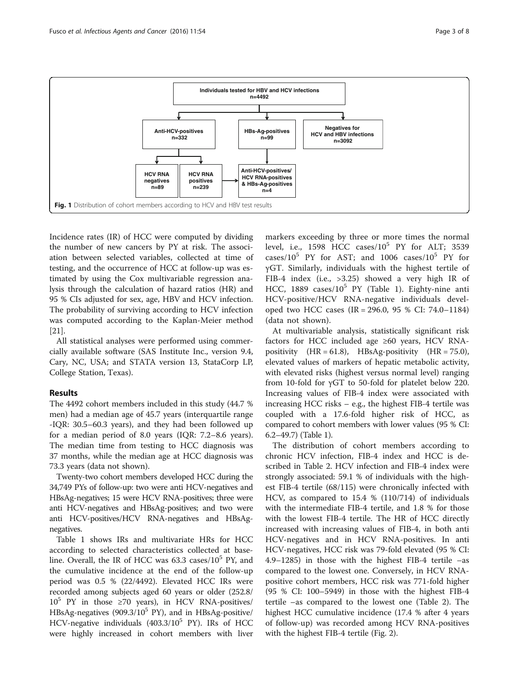

<span id="page-2-0"></span>

Incidence rates (IR) of HCC were computed by dividing the number of new cancers by PY at risk. The association between selected variables, collected at time of testing, and the occurrence of HCC at follow-up was estimated by using the Cox multivariable regression analysis through the calculation of hazard ratios (HR) and 95 % CIs adjusted for sex, age, HBV and HCV infection. The probability of surviving according to HCV infection was computed according to the Kaplan-Meier method [[21\]](#page-7-0).

All statistical analyses were performed using commercially available software (SAS Institute Inc., version 9.4, Cary, NC, USA; and STATA version 13, StataCorp LP, College Station, Texas).

## Results

The 4492 cohort members included in this study (44.7 % men) had a median age of 45.7 years (interquartile range -IQR: 30.5–60.3 years), and they had been followed up for a median period of 8.0 years (IQR: 7.2–8.6 years). The median time from testing to HCC diagnosis was 37 months, while the median age at HCC diagnosis was 73.3 years (data not shown).

Twenty-two cohort members developed HCC during the 34,749 PYs of follow-up: two were anti HCV-negatives and HBsAg-negatives; 15 were HCV RNA-positives; three were anti HCV-negatives and HBsAg-positives; and two were anti HCV-positives/HCV RNA-negatives and HBsAgnegatives.

Table [1](#page-3-0) shows IRs and multivariate HRs for HCC according to selected characteristics collected at baseline. Overall, the IR of HCC was  $63.3 \text{ cases}/10^5 \text{ PY}$ , and the cumulative incidence at the end of the follow-up period was 0.5 % (22/4492). Elevated HCC IRs were recorded among subjects aged 60 years or older (252.8/  $10^5$  PY in those ≥70 years), in HCV RNA-positives/ HBsAg-negatives (909.3/10<sup>5</sup> PY), and in HBsAg-positive/ HCV-negative individuals  $(403.3/10^5$  PY). IRs of HCC were highly increased in cohort members with liver

markers exceeding by three or more times the normal level, i.e.,  $1598$  HCC cases/ $10^5$  PY for ALT; 3539 cases/ $10^5$  PY for AST; and 1006 cases/ $10^5$  PY for γGT. Similarly, individuals with the highest tertile of FIB-4 index (i.e., >3.25) showed a very high IR of HCC, 1889 cases/ $10^5$  PY (Table [1\)](#page-3-0). Eighty-nine anti HCV-positive/HCV RNA-negative individuals developed two HCC cases (IR = 296.0, 95 % CI: 74.0–1184) (data not shown).

At multivariable analysis, statistically significant risk factors for HCC included age ≥60 years, HCV RNApositivity  $(HR = 61.8)$ , HBsAg-positivity  $(HR = 75.0)$ , elevated values of markers of hepatic metabolic activity, with elevated risks (highest versus normal level) ranging from 10-fold for γGT to 50-fold for platelet below 220. Increasing values of FIB-4 index were associated with increasing HCC risks – e.g., the highest FIB-4 tertile was coupled with a 17.6-fold higher risk of HCC, as compared to cohort members with lower values (95 % CI: 6.2–49.7) (Table [1\)](#page-3-0).

The distribution of cohort members according to chronic HCV infection, FIB-4 index and HCC is described in Table [2](#page-4-0). HCV infection and FIB-4 index were strongly associated: 59.1 % of individuals with the highest FIB-4 tertile (68/115) were chronically infected with HCV, as compared to 15.4 % (110/714) of individuals with the intermediate FIB-4 tertile, and 1.8 % for those with the lowest FIB-4 tertile. The HR of HCC directly increased with increasing values of FIB-4, in both anti HCV-negatives and in HCV RNA-positives. In anti HCV-negatives, HCC risk was 79-fold elevated (95 % CI: 4.9–1285) in those with the highest FIB-4 tertile –as compared to the lowest one. Conversely, in HCV RNApositive cohort members, HCC risk was 771-fold higher (95 % CI: 100–5949) in those with the highest FIB-4 tertile –as compared to the lowest one (Table [2\)](#page-4-0). The highest HCC cumulative incidence (17.4 % after 4 years of follow-up) was recorded among HCV RNA-positives with the highest FIB-4 tertile (Fig. [2\)](#page-4-0).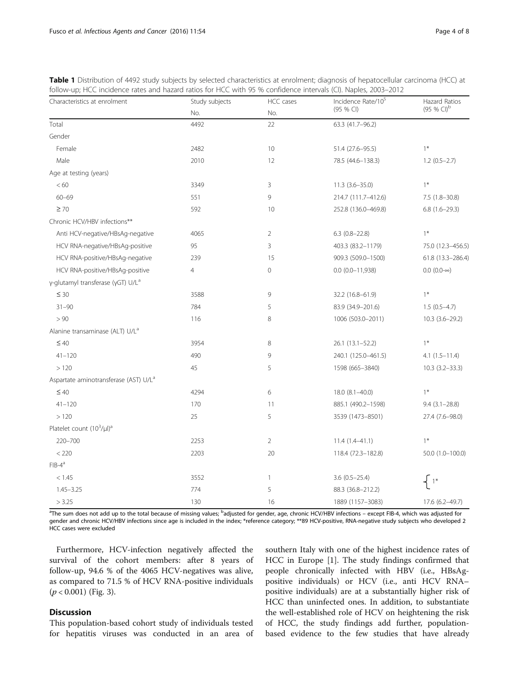| Characteristics at enrolment                      | Study subjects | HCC cases      | Incidence Rate/105   | Hazard Ratios      |  |
|---------------------------------------------------|----------------|----------------|----------------------|--------------------|--|
|                                                   | No.            | No.            | (95 % CI)            | $(95 % CI)^{b}$    |  |
| Total                                             | 4492           | 22             | 63.3 (41.7-96.2)     |                    |  |
| Gender                                            |                |                |                      |                    |  |
| Female                                            | 2482           | 10             | 51.4 (27.6-95.5)     | $1*$               |  |
| Male                                              | 2010           | 12             | 78.5 (44.6-138.3)    | $1.2(0.5-2.7)$     |  |
| Age at testing (years)                            |                |                |                      |                    |  |
| < 60                                              | 3349           | 3              | $11.3(3.6 - 35.0)$   | $1*$               |  |
| $60 - 69$                                         | 551            | 9              | 214.7 (111.7-412.6)  | $7.5(1.8-30.8)$    |  |
| $\geq 70$                                         | 592            | 10             | 252.8 (136.0-469.8)  | $6.8(1.6-29.3)$    |  |
| Chronic HCV/HBV infections**                      |                |                |                      |                    |  |
| Anti HCV-negative/HBsAg-negative                  | 4065           | $\overline{2}$ | $6.3$ $(0.8-22.8)$   | $1*$               |  |
| HCV RNA-negative/HBsAg-positive                   | 95             | 3              | 403.3 (83.2-1179)    | 75.0 (12.3-456.5)  |  |
| HCV RNA-positive/HBsAq-negative                   | 239            | 15             | 909.3 (509.0-1500)   | 61.8 (13.3-286.4)  |  |
| HCV RNA-positive/HBsAg-positive                   | $\overline{4}$ | $\mathbf 0$    | $0.0 (0.0 - 11,938)$ | $0.0 (0.0-\infty)$ |  |
| γ-glutamyl transferase (γGT) U/L <sup>a</sup>     |                |                |                      |                    |  |
| $\leq 30$                                         | 3588           | 9              | 32.2 (16.8-61.9)     | $1*$               |  |
| $31 - 90$                                         | 784            | 5              | 83.9 (34.9-201.6)    | $1.5(0.5-4.7)$     |  |
| > 90                                              | 116            | 8              | 1006 (503.0-2011)    | $10.3(3.6-29.2)$   |  |
| Alanine transaminase (ALT) U/L <sup>a</sup>       |                |                |                      |                    |  |
| $\leq 40$                                         | 3954           | 8              | 26.1 (13.1-52.2)     | $1*$               |  |
| $41 - 120$                                        | 490            | 9              | 240.1 (125.0-461.5)  | $4.1(1.5-11.4)$    |  |
| >120                                              | 45             | 5              | 1598 (665-3840)      | $10.3(3.2 - 33.3)$ |  |
| Aspartate aminotransferase (AST) U/L <sup>a</sup> |                |                |                      |                    |  |
| $\leq 40$                                         | 4294           | 6              | 18.0 (8.1-40.0)      | $1*$               |  |
| $41 - 120$                                        | 170            | 11             | 885.1 (490.2-1598)   | $9.4(3.1 - 28.8)$  |  |
| >120                                              | 25             | 5              | 3539 (1473-8501)     | 27.4 (7.6-98.0)    |  |
| Platelet count (10 <sup>3</sup> /µl) <sup>a</sup> |                |                |                      |                    |  |
| 220-700                                           | 2253           | $\overline{2}$ | $11.4(1.4 - 41.1)$   | $1*$               |  |
| < 220                                             | 2203           | 20             | 118.4 (72.3-182.8)   | 50.0 (1.0-100.0)   |  |
| $FIB-4^a$                                         |                |                |                      |                    |  |
| < 1.45                                            | 3552           | $\mathbf{1}$   | $3.6(0.5 - 25.4)$    |                    |  |
| $1.45 - 3.25$                                     | 774            | 5              | 88.3 (36.8-212.2)    |                    |  |
| > 3.25                                            | 130            | 16             | 1889 (1157-3083)     | 17.6 (6.2-49.7)    |  |

<span id="page-3-0"></span>Table 1 Distribution of 4492 study subjects by selected characteristics at enrolment; diagnosis of hepatocellular carcinoma (HCC) at follow-up; HCC incidence rates and hazard ratios for HCC with 95 % confidence intervals (CI). Naples, 2003–2012

<sup>a</sup>The sum does not add up to the total because of missing values; <sup>b</sup>adjusted for gender, age, chronic HCV/HBV infections – except FIB-4, which was adjusted for gender and chronic HCV/HBV infections since age is included in the index; \*reference category; \*\*89 HCV-positive, RNA-negative study subjects who developed 2 HCC cases were excluded

Furthermore, HCV-infection negatively affected the survival of the cohort members: after 8 years of follow-up, 94.6 % of the 4065 HCV-negatives was alive, as compared to 71.5 % of HCV RNA-positive individuals  $(p < 0.001)$  (Fig. [3\)](#page-5-0).

## Discussion

This population-based cohort study of individuals tested for hepatitis viruses was conducted in an area of

southern Italy with one of the highest incidence rates of HCC in Europe [[1\]](#page-6-0). The study findings confirmed that people chronically infected with HBV (i.e., HBsAgpositive individuals) or HCV (i.e., anti HCV RNApositive individuals) are at a substantially higher risk of HCC than uninfected ones. In addition, to substantiate the well-established role of HCV on heightening the risk of HCC, the study findings add further, populationbased evidence to the few studies that have already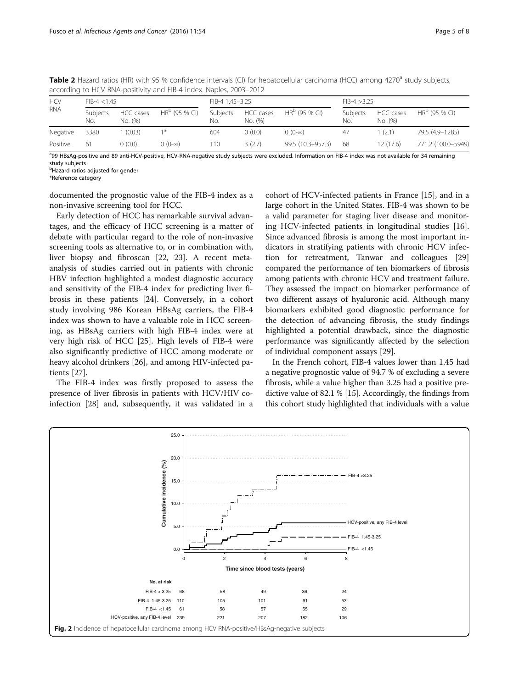| <b>HCV</b><br><b>RNA</b> | $FIB-4 < 1.45$  |                      | FIB-4 1.45-3.25    |                 |                      | $FIB-4 > 3.25$    |                 |                      |                    |
|--------------------------|-----------------|----------------------|--------------------|-----------------|----------------------|-------------------|-----------------|----------------------|--------------------|
|                          | Subjects<br>No. | HCC cases<br>No. (%) | $HR^D$ (95 % CI)   | Subiects<br>No. | HCC cases<br>No. (%) | $HR^D$ (95 % CI)  | Subjects<br>No. | HCC cases<br>No. (%) | $HRb$ (95 % CI)    |
| Negative                 | 3380            | (0.03)               | 1 米                | 604             | 0(0.0)               | $(0.0 - \infty)$  | 47              | (2.1)                | 79.5 (4.9-1285)    |
| Positive                 | 61              | (0.0)                | $(0 (0 - \infty))$ | 110             | 3(2.7)               | 99.5 (10.3-957.3) | -68             | 12 (17.6)            | 771.2 (100.0-5949) |

<span id="page-4-0"></span>Table 2 Hazard ratios (HR) with 95 % confidence intervals (CI) for hepatocellular carcinoma (HCC) among 4270<sup>a</sup> study subjects, according to HCV RNA-positivity and FIB-4 index. Naples, 2003–2012

ag HBsAg-positive and 89 anti-HCV-positive, HCV-RNA-negative study subjects were excluded. Information on FIB-4 index was not available for 34 remaining study subjects

<sup>b</sup>Hazard ratios adjusted for gender

\*Reference category

documented the prognostic value of the FIB-4 index as a non-invasive screening tool for HCC.

Early detection of HCC has remarkable survival advantages, and the efficacy of HCC screening is a matter of debate with particular regard to the role of non-invasive screening tools as alternative to, or in combination with, liver biopsy and fibroscan [[22](#page-7-0), [23\]](#page-7-0). A recent metaanalysis of studies carried out in patients with chronic HBV infection highlighted a modest diagnostic accuracy and sensitivity of the FIB-4 index for predicting liver fibrosis in these patients [\[24\]](#page-7-0). Conversely, in a cohort study involving 986 Korean HBsAg carriers, the FIB-4 index was shown to have a valuable role in HCC screening, as HBsAg carriers with high FIB-4 index were at very high risk of HCC [[25\]](#page-7-0). High levels of FIB-4 were also significantly predictive of HCC among moderate or heavy alcohol drinkers [\[26](#page-7-0)], and among HIV-infected patients [\[27](#page-7-0)].

The FIB-4 index was firstly proposed to assess the presence of liver fibrosis in patients with HCV/HIV coinfection [[28\]](#page-7-0) and, subsequently, it was validated in a

cohort of HCV-infected patients in France [\[15](#page-6-0)], and in a large cohort in the United States. FIB-4 was shown to be a valid parameter for staging liver disease and monitoring HCV-infected patients in longitudinal studies [\[16](#page-7-0)]. Since advanced fibrosis is among the most important indicators in stratifying patients with chronic HCV infection for retreatment, Tanwar and colleagues [[29](#page-7-0)] compared the performance of ten biomarkers of fibrosis among patients with chronic HCV and treatment failure. They assessed the impact on biomarker performance of two different assays of hyaluronic acid. Although many biomarkers exhibited good diagnostic performance for the detection of advancing fibrosis, the study findings highlighted a potential drawback, since the diagnostic performance was significantly affected by the selection of individual component assays [[29\]](#page-7-0).

In the French cohort, FIB-4 values lower than 1.45 had a negative prognostic value of 94.7 % of excluding a severe fibrosis, while a value higher than 3.25 had a positive predictive value of 82.1 % [\[15\]](#page-6-0). Accordingly, the findings from this cohort study highlighted that individuals with a value

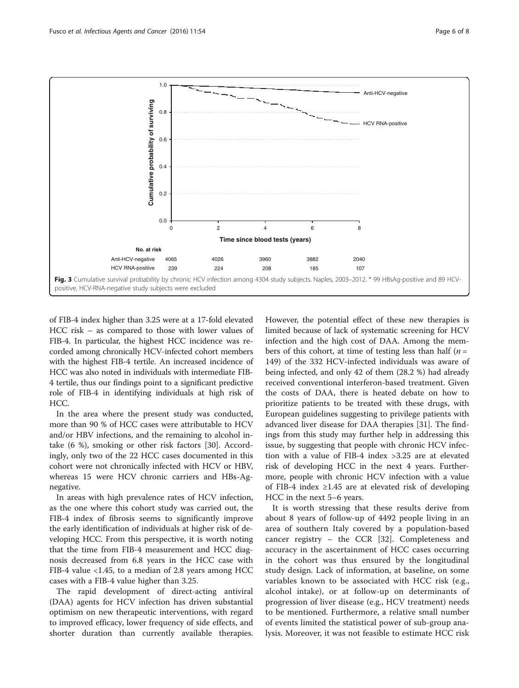<span id="page-5-0"></span>

of FIB-4 index higher than 3.25 were at a 17-fold elevated HCC risk – as compared to those with lower values of FIB-4. In particular, the highest HCC incidence was recorded among chronically HCV-infected cohort members with the highest FIB-4 tertile. An increased incidence of HCC was also noted in individuals with intermediate FIB-4 tertile, thus our findings point to a significant predictive role of FIB-4 in identifying individuals at high risk of HCC.

In the area where the present study was conducted, more than 90 % of HCC cases were attributable to HCV and/or HBV infections, and the remaining to alcohol intake (6 %), smoking or other risk factors [[30\]](#page-7-0). Accordingly, only two of the 22 HCC cases documented in this cohort were not chronically infected with HCV or HBV, whereas 15 were HCV chronic carriers and HBs-Agnegative.

In areas with high prevalence rates of HCV infection, as the one where this cohort study was carried out, the FIB-4 index of fibrosis seems to significantly improve the early identification of individuals at higher risk of developing HCC. From this perspective, it is worth noting that the time from FIB-4 measurement and HCC diagnosis decreased from 6.8 years in the HCC case with FIB-4 value <1.45, to a median of 2.8 years among HCC cases with a FIB-4 value higher than 3.25.

The rapid development of direct-acting antiviral (DAA) agents for HCV infection has driven substantial optimism on new therapeutic interventions, with regard to improved efficacy, lower frequency of side effects, and shorter duration than currently available therapies. However, the potential effect of these new therapies is limited because of lack of systematic screening for HCV infection and the high cost of DAA. Among the members of this cohort, at time of testing less than half  $(n =$ 149) of the 332 HCV-infected individuals was aware of being infected, and only 42 of them (28.2 %) had already received conventional interferon-based treatment. Given the costs of DAA, there is heated debate on how to prioritize patients to be treated with these drugs, with European guidelines suggesting to privilege patients with advanced liver disease for DAA therapies [\[31\]](#page-7-0). The findings from this study may further help in addressing this issue, by suggesting that people with chronic HCV infection with a value of FIB-4 index >3.25 are at elevated risk of developing HCC in the next 4 years. Furthermore, people with chronic HCV infection with a value of FIB-4 index ≥1.45 are at elevated risk of developing HCC in the next 5–6 years.

It is worth stressing that these results derive from about 8 years of follow-up of 4492 people living in an area of southern Italy covered by a population-based cancer registry – the CCR [[32\]](#page-7-0). Completeness and accuracy in the ascertainment of HCC cases occurring in the cohort was thus ensured by the longitudinal study design. Lack of information, at baseline, on some variables known to be associated with HCC risk (e.g., alcohol intake), or at follow-up on determinants of progression of liver disease (e.g., HCV treatment) needs to be mentioned. Furthermore, a relative small number of events limited the statistical power of sub-group analysis. Moreover, it was not feasible to estimate HCC risk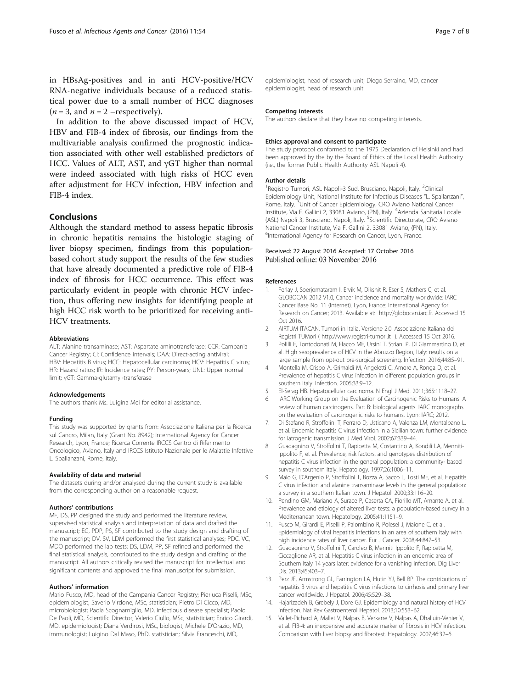<span id="page-6-0"></span>in HBsAg-positives and in anti HCV-positive/HCV RNA-negative individuals because of a reduced statistical power due to a small number of HCC diagnoses  $(n = 3,$  and  $n = 2$  –respectively).

In addition to the above discussed impact of HCV, HBV and FIB-4 index of fibrosis, our findings from the multivariable analysis confirmed the prognostic indication associated with other well established predictors of HCC. Values of ALT, AST, and γGT higher than normal were indeed associated with high risks of HCC even after adjustment for HCV infection, HBV infection and FIB-4 index.

## Conclusions

Although the standard method to assess hepatic fibrosis in chronic hepatitis remains the histologic staging of liver biopsy specimen, findings from this populationbased cohort study support the results of the few studies that have already documented a predictive role of FIB-4 index of fibrosis for HCC occurrence. This effect was particularly evident in people with chronic HCV infection, thus offering new insights for identifying people at high HCC risk worth to be prioritized for receiving anti-HCV treatments.

#### Abbreviations

ALT: Alanine transaminase; AST: Aspartate aminotransferase; CCR: Campania Cancer Registry; CI: Confidence intervals; DAA: Direct-acting antiviral; HBV: Hepatitis B virus; HCC: Hepatocellular carcinoma; HCV: Hepatitis C virus; HR: Hazard ratios; IR: Incidence rates; PY: Person-years; UNL: Upper normal limit; γGT: Gamma-glutamyl-transferase

#### Acknowledgements

The authors thank Ms. Luigina Mei for editorial assistance.

#### Funding

This study was supported by grants from: Associazione Italiana per la Ricerca sul Cancro, Milan, Italy (Grant No. 8942); International Agency for Cancer Research, Lyon, France; Ricerca Corrente IRCCS Centro di Riferimento Oncologico, Aviano, Italy and IRCCS Istituto Nazionale per le Malattie Infettive L. Spallanzani, Rome, Italy.

#### Availability of data and material

The datasets during and/or analysed during the current study is available from the corresponding author on a reasonable request.

#### Authors' contributions

MF, DS, PP designed the study and performed the literature review, supervised statistical analysis and interpretation of data and drafted the manuscript; EG, PDP, PS, SF contributed to the study design and drafting of the manuscript; DV, SV, LDM performed the first statistical analyses; PDC, VC, MDO performed the lab tests; DS, LDM, PP, SF refined and performed the final statistical analysis, contributed to the study design and drafting of the manuscript. All authors critically revised the manuscript for intellectual and significant contents and approved the final manuscript for submission.

#### Authors' information

Mario Fusco, MD, head of the Campania Cancer Registry; Pierluca Piselli, MSc, epidemiologist; Saverio Virdone, MSc, statistician; Pietro Di Cicco, MD, microbiologist; Paola Scognamiglio, MD, infectious disease specialist; Paolo De Paoli, MD, Scientific Director; Valerio Ciullo, MSc, statistician; Enrico Girardi, MD, epidemiologist; Diana Verdirosi, MSc, biologist; Michele D'Orazio, MD, immunologist; Luigino Dal Maso, PhD, statistician; Silvia Franceschi, MD,

epidemiologist, head of research unit; Diego Serraino, MD, cancer epidemiologist, head of research unit.

#### Competing interests

The authors declare that they have no competing interests.

#### Ethics approval and consent to participate

The study protocol conformed to the 1975 Declaration of Helsinki and had been approved by the by the Board of Ethics of the Local Health Authority (i.e., the former Public Health Authority ASL Napoli 4).

#### Author details

<sup>1</sup> Registro Tumori, ASL Napoli-3 Sud, Brusciano, Napoli, Italy. <sup>2</sup>Clinical Epidemiology Unit, National Institute for Infectious Diseases "L. Spallanzani", Rome, Italy.<sup>3</sup>Unit of Cancer Epidemiology, CRO Aviano National Cancer Institute, Via F. Gallini 2, 33081 Aviano, (PN), Italy. <sup>4</sup> Azienda Sanitaria Locale (ASL) Napoli 3, Brusciano, Napoli, Italy. <sup>5</sup>Scientific Directorate, CRO Aviano National Cancer Institute, Via F. Gallini 2, 33081 Aviano, (PN), Italy. <sup>6</sup>International Agency for Research on Cancer, Lyon, France.

# Received: 22 August 2016 Accepted: 17 October 2016<br>Published online: 03 November 2016

#### References

- 1. Ferlay J, Soerjomataram I, Ervik M, Dikshit R, Eser S, Mathers C, et al. GLOBOCAN 2012 V1.0, Cancer incidence and mortality worldwide: IARC Cancer Base No. 11 (Internet). Lyon, France: International Agency for Research on Cancer; 2013. Available at: [http://globocan.iarc.fr](http://globocan.iarc.fr/). Accessed 15 Oct 2016.
- 2. AIRTUM ITACAN. Tumori in Italia, Versione 2.0. Associazione Italiana dei Registri TUMori [\( http://www.registri-tumori.it](http://www.registri-tumori.it/) ). Accessed 15 Oct 2016.
- 3. Polilli E, Tontodonati M, Flacco ME, Ursini T, Striani P, Di Giammartino D, et al. High seroprevalence of HCV in the Abruzzo Region, Italy: results on a large sample from opt-out pre-surgical screening. Infection. 2016;44:85–91.
- 4. Montella M, Crispo A, Grimaldi M, Angeletti C, Amore A, Ronga D, et al. Prevalence of hepatitis C virus infection in different population groups in southern Italy. Infection. 2005;33:9–12.
- 5. El-Serag HB. Hepatocellular carcinoma. N Engl J Med. 2011;365:1118–27.
- 6. IARC Working Group on the Evaluation of Carcinogenic Risks to Humans. A review of human carcinogens. Part B: biological agents. IARC monographs on the evaluation of carcinogenic risks to humans. Lyon: IARC; 2012.
- 7. Di Stefano R, Stroffolini T, Ferraro D, Usticano A, Valenza LM, Montalbano L, et al. Endemic hepatitis C virus infection in a Sicilian town: further evidence for iatrogenic transmission. J Med Virol. 2002;67:339–44.
- 8. Guadagnino V, Stroffolini T, Rapicetta M, Costantino A, Kondili LA, Menniti-Ippolito F, et al. Prevalence, risk factors, and genotypes distribution of hepatitis C virus infection in the general population: a community- based survey in southern Italy. Hepatology. 1997;26:1006–11.
- 9. Maio G, D'Argenio P, Stroffolini T, Bozza A, Sacco L, Tosti ME, et al. Hepatitis C virus infection and alanine transaminase levels in the general population: a survey in a southern Italian town. J Hepatol. 2000;33:116–20.
- 10. Pendino GM, Mariano A, Surace P, Caserta CA, Fiorillo MT, Amante A, et al. Prevalence and etiology of altered liver tests: a population-based survey in a Mediterranean town. Hepatology. 2005;41:1151–9.
- 11. Fusco M, Girardi E, Piselli P, Palombino R, Polesel J, Maione C, et al. Epidemiology of viral hepatitis infections in an area of southern Italy with high incidence rates of liver cancer. Eur J Cancer. 2008;44:847–53.
- 12. Guadagnino V, Stroffolini T, Caroleo B, Menniti Ippolito F, Rapicetta M, Ciccaglione AR, et al. Hepatitis C virus infection in an endemic area of Southern Italy 14 years later: evidence for a vanishing infection. Dig Liver Dis. 2013;45:403–7.
- 13. Perz JF, Armstrong GL, Farrington LA, Hutin YJ, Bell BP. The contributions of hepatitis B virus and hepatitis C virus infections to cirrhosis and primary liver cancer worldwide. J Hepatol. 2006;45:529–38.
- 14. Hajarizadeh B, Grebely J, Dore GJ. Epidemiology and natural history of HCV infection. Nat Rev Gastroenterol Hepatol. 2013;10:553–62.
- 15. Vallet-Pichard A, Mallet V, Nalpas B, Verkarre V, Nalpas A, Dhalluin-Venier V, et al. FIB-4: an inexpensive and accurate marker of fibrosis in HCV infection. Comparison with liver biopsy and fibrotest. Hepatology. 2007;46:32–6.